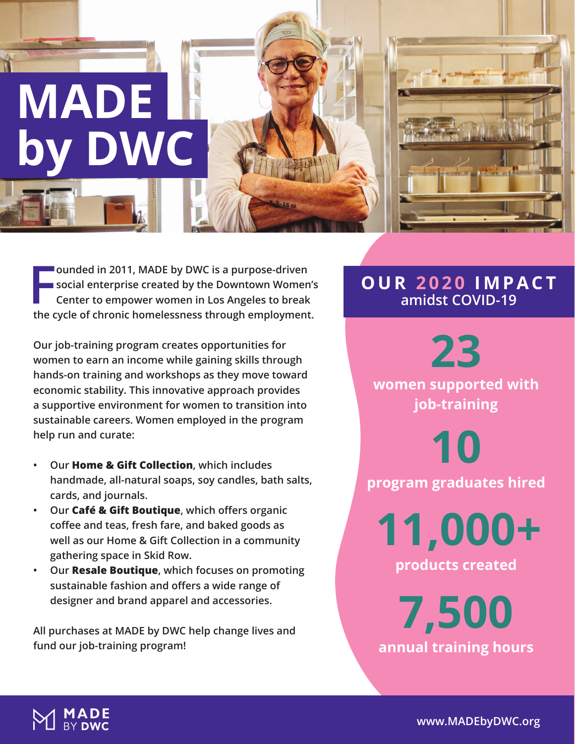

**F ounded in 2011, MADE by DWC is a purpose-driven social enterprise created by the Downtown Women's Center to empower women in Los Angeles to break the cycle of chronic homelessness through employment.** 

**Our job-training program creates opportunities for women to earn an income while gaining skills through hands-on training and workshops as they move toward economic stability. This innovative approach provides a supportive environment for women to transition into sustainable careers. Women employed in the program help run and curate:**

- **• Our Home & Gift Collection, which includes handmade, all-natural soaps, soy candles, bath salts, cards, and journals.**
- **• Our Café & Gift Boutique, which offers organic coffee and teas, fresh fare, and baked goods as well as our Home & Gift Collection in a community gathering space in Skid Row.**
- **• Our Resale Boutique, which focuses on promoting sustainable fashion and offers a wide range of designer and brand apparel and accessories.**

**All purchases at MADE by DWC help change lives and fund our job-training program!** 

### **OUR 2020 IMPACT amidst COVID-19**



**women supported with job-training**

**10**

**program graduates hired**

**11,000+ products created**

**7,500 annual training hours**